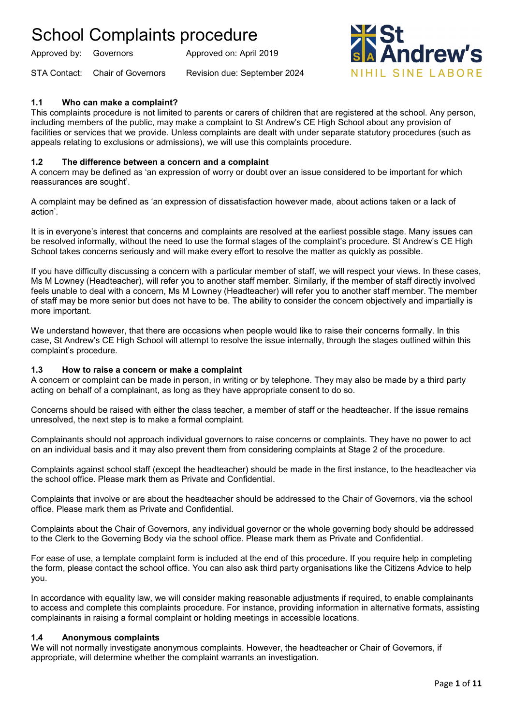Approved by: Governors Approved on: April 2019

STA Contact: Chair of Governors Revision due: September 2024



### **1.1 Who can make a complaint?**

This complaints procedure is not limited to parents or carers of children that are registered at the school. Any person, including members of the public, may make a complaint to St Andrew's CE High School about any provision of facilities or services that we provide. Unless complaints are dealt with under separate statutory procedures (such as appeals relating to exclusions or admissions), we will use this complaints procedure.

### **1.2 The difference between a concern and a complaint**

A concern may be defined as 'an expression of worry or doubt over an issue considered to be important for which reassurances are sought'.

A complaint may be defined as 'an expression of dissatisfaction however made, about actions taken or a lack of action'.

It is in everyone's interest that concerns and complaints are resolved at the earliest possible stage. Many issues can be resolved informally, without the need to use the formal stages of the complaint's procedure. St Andrew's CE High School takes concerns seriously and will make every effort to resolve the matter as quickly as possible.

If you have difficulty discussing a concern with a particular member of staff, we will respect your views. In these cases, Ms M Lowney (Headteacher), will refer you to another staff member. Similarly, if the member of staff directly involved feels unable to deal with a concern, Ms M Lowney (Headteacher) will refer you to another staff member. The member of staff may be more senior but does not have to be. The ability to consider the concern objectively and impartially is more important.

We understand however, that there are occasions when people would like to raise their concerns formally. In this case, St Andrew's CE High School will attempt to resolve the issue internally, through the stages outlined within this complaint's procedure.

#### **1.3 How to raise a concern or make a complaint**

A concern or complaint can be made in person, in writing or by telephone. They may also be made by a third party acting on behalf of a complainant, as long as they have appropriate consent to do so.

Concerns should be raised with either the class teacher, a member of staff or the headteacher. If the issue remains unresolved, the next step is to make a formal complaint.

Complainants should not approach individual governors to raise concerns or complaints. They have no power to act on an individual basis and it may also prevent them from considering complaints at Stage 2 of the procedure.

Complaints against school staff (except the headteacher) should be made in the first instance, to the headteacher via the school office. Please mark them as Private and Confidential.

Complaints that involve or are about the headteacher should be addressed to the Chair of Governors, via the school office. Please mark them as Private and Confidential.

Complaints about the Chair of Governors, any individual governor or the whole governing body should be addressed to the Clerk to the Governing Body via the school office. Please mark them as Private and Confidential.

For ease of use, a template complaint form is included at the end of this procedure. If you require help in completing the form, please contact the school office. You can also ask third party organisations like the Citizens Advice to help you.

In accordance with equality law, we will consider making reasonable adjustments if required, to enable complainants to access and complete this complaints procedure. For instance, providing information in alternative formats, assisting complainants in raising a formal complaint or holding meetings in accessible locations.

#### **1.4 Anonymous complaints**

We will not normally investigate anonymous complaints. However, the headteacher or Chair of Governors, if appropriate, will determine whether the complaint warrants an investigation.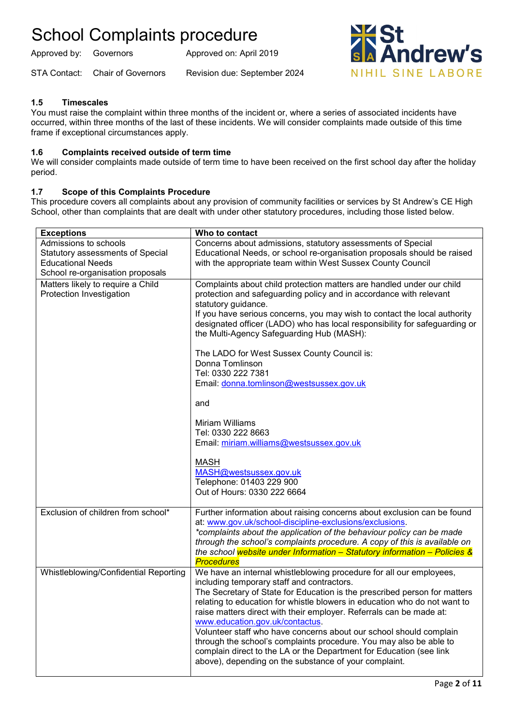Approved by: Governors Approved on: April 2019

STA Contact: Chair of Governors Revision due: September 2024



### **1.5 Timescales**

You must raise the complaint within three months of the incident or, where a series of associated incidents have occurred, within three months of the last of these incidents. We will consider complaints made outside of this time frame if exceptional circumstances apply.

### **1.6 Complaints received outside of term time**

We will consider complaints made outside of term time to have been received on the first school day after the holiday period.

### **1.7 Scope of this Complaints Procedure**

This procedure covers all complaints about any provision of community facilities or services by St Andrew's CE High School, other than complaints that are dealt with under other statutory procedures, including those listed below.

| <b>Exceptions</b>                                                                                                         | Who to contact                                                                                                                                                                                                                                                                                                                                                                                                                                                                                                                                                                                                                                                                                                 |
|---------------------------------------------------------------------------------------------------------------------------|----------------------------------------------------------------------------------------------------------------------------------------------------------------------------------------------------------------------------------------------------------------------------------------------------------------------------------------------------------------------------------------------------------------------------------------------------------------------------------------------------------------------------------------------------------------------------------------------------------------------------------------------------------------------------------------------------------------|
| Admissions to schools<br>Statutory assessments of Special<br><b>Educational Needs</b><br>School re-organisation proposals | Concerns about admissions, statutory assessments of Special<br>Educational Needs, or school re-organisation proposals should be raised<br>with the appropriate team within West Sussex County Council                                                                                                                                                                                                                                                                                                                                                                                                                                                                                                          |
| Matters likely to require a Child<br>Protection Investigation                                                             | Complaints about child protection matters are handled under our child<br>protection and safeguarding policy and in accordance with relevant<br>statutory guidance.<br>If you have serious concerns, you may wish to contact the local authority<br>designated officer (LADO) who has local responsibility for safeguarding or<br>the Multi-Agency Safeguarding Hub (MASH):<br>The LADO for West Sussex County Council is:<br>Donna Tomlinson<br>Tel: 0330 222 7381<br>Email: donna.tomlinson@westsussex.gov.uk<br>and<br>Miriam Williams<br>Tel: 0330 222 8663<br>Email: miriam.williams@westsussex.gov.uk<br><b>MASH</b><br>MASH@westsussex.gov.uk<br>Telephone: 01403 229 900<br>Out of Hours: 0330 222 6664 |
| Exclusion of children from school*                                                                                        | Further information about raising concerns about exclusion can be found<br>at: www.gov.uk/school-discipline-exclusions/exclusions.<br>*complaints about the application of the behaviour policy can be made<br>through the school's complaints procedure. A copy of this is available on<br>the school website under Information - Statutory information - Policies &<br><b>Procedures</b>                                                                                                                                                                                                                                                                                                                     |
| Whistleblowing/Confidential Reporting                                                                                     | We have an internal whistleblowing procedure for all our employees,<br>including temporary staff and contractors.<br>The Secretary of State for Education is the prescribed person for matters<br>relating to education for whistle blowers in education who do not want to<br>raise matters direct with their employer. Referrals can be made at:<br>www.education.gov.uk/contactus.<br>Volunteer staff who have concerns about our school should complain<br>through the school's complaints procedure. You may also be able to<br>complain direct to the LA or the Department for Education (see link<br>above), depending on the substance of your complaint.                                              |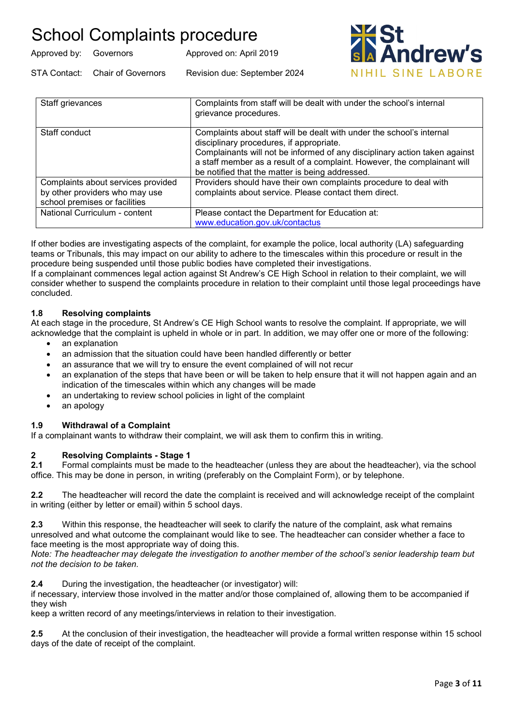| Approved by: Governors |                                 | Approved on: April 2019      |
|------------------------|---------------------------------|------------------------------|
|                        | STA Contact: Chair of Governors | Revision due: September 2024 |



| Staff grievances                                                                                      | Complaints from staff will be dealt with under the school's internal<br>grievance procedures.                                                                                                                                                                                                                                  |
|-------------------------------------------------------------------------------------------------------|--------------------------------------------------------------------------------------------------------------------------------------------------------------------------------------------------------------------------------------------------------------------------------------------------------------------------------|
| Staff conduct                                                                                         | Complaints about staff will be dealt with under the school's internal<br>disciplinary procedures, if appropriate.<br>Complainants will not be informed of any disciplinary action taken against<br>a staff member as a result of a complaint. However, the complainant will<br>be notified that the matter is being addressed. |
| Complaints about services provided<br>by other providers who may use<br>school premises or facilities | Providers should have their own complaints procedure to deal with<br>complaints about service. Please contact them direct.                                                                                                                                                                                                     |
| National Curriculum - content                                                                         | Please contact the Department for Education at:<br>www.education.gov.uk/contactus                                                                                                                                                                                                                                              |

If other bodies are investigating aspects of the complaint, for example the police, local authority (LA) safeguarding teams or Tribunals, this may impact on our ability to adhere to the timescales within this procedure or result in the procedure being suspended until those public bodies have completed their investigations.

If a complainant commences legal action against St Andrew's CE High School in relation to their complaint, we will consider whether to suspend the complaints procedure in relation to their complaint until those legal proceedings have concluded.

### **1.8 Resolving complaints**

At each stage in the procedure, St Andrew's CE High School wants to resolve the complaint. If appropriate, we will acknowledge that the complaint is upheld in whole or in part. In addition, we may offer one or more of the following:

- an explanation
- an admission that the situation could have been handled differently or better
- an assurance that we will try to ensure the event complained of will not recur
- an explanation of the steps that have been or will be taken to help ensure that it will not happen again and an indication of the timescales within which any changes will be made
- an undertaking to review school policies in light of the complaint
- an apology

### **1.9 Withdrawal of a Complaint**

If a complainant wants to withdraw their complaint, we will ask them to confirm this in writing.

## **2 Resolving Complaints - Stage 1**

**2.1** Formal complaints must be made to the headteacher (unless they are about the headteacher), via the school office. This may be done in person, in writing (preferably on the Complaint Form), or by telephone.

**2.2** The headteacher will record the date the complaint is received and will acknowledge receipt of the complaint in writing (either by letter or email) within 5 school days.

**2.3** Within this response, the headteacher will seek to clarify the nature of the complaint, ask what remains unresolved and what outcome the complainant would like to see. The headteacher can consider whether a face to face meeting is the most appropriate way of doing this.

*Note: The headteacher may delegate the investigation to another member of the school's senior leadership team but not the decision to be taken.*

**2.4** During the investigation, the headteacher (or investigator) will:

if necessary, interview those involved in the matter and/or those complained of, allowing them to be accompanied if they wish

keep a written record of any meetings/interviews in relation to their investigation.

**2.5** At the conclusion of their investigation, the headteacher will provide a formal written response within 15 school days of the date of receipt of the complaint.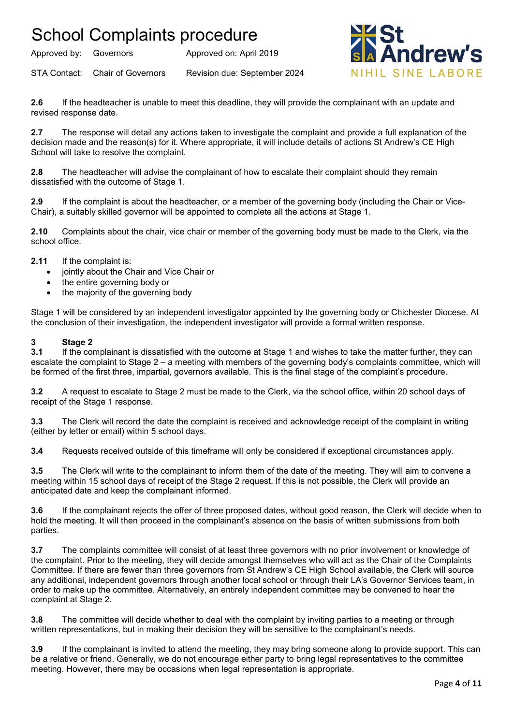Approved by: Governors Approved on: April 2019

STA Contact: Chair of Governors Revision due: September 2024



**2.6** If the headteacher is unable to meet this deadline, they will provide the complainant with an update and revised response date.

**2.7** The response will detail any actions taken to investigate the complaint and provide a full explanation of the decision made and the reason(s) for it. Where appropriate, it will include details of actions St Andrew's CE High School will take to resolve the complaint.

**2.8** The headteacher will advise the complainant of how to escalate their complaint should they remain dissatisfied with the outcome of Stage 1.

**2.9** If the complaint is about the headteacher, or a member of the governing body (including the Chair or Vice-Chair), a suitably skilled governor will be appointed to complete all the actions at Stage 1.

**2.10** Complaints about the chair, vice chair or member of the governing body must be made to the Clerk, via the school office.

**2.11** If the complaint is:

- jointly about the Chair and Vice Chair or
- the entire governing body or
- the majority of the governing body

Stage 1 will be considered by an independent investigator appointed by the governing body or Chichester Diocese. At the conclusion of their investigation, the independent investigator will provide a formal written response.

## **3 Stage 2**

**3.1** If the complainant is dissatisfied with the outcome at Stage 1 and wishes to take the matter further, they can escalate the complaint to Stage 2 – a meeting with members of the governing body's complaints committee, which will be formed of the first three, impartial, governors available. This is the final stage of the complaint's procedure.

**3.2** A request to escalate to Stage 2 must be made to the Clerk, via the school office, within 20 school days of receipt of the Stage 1 response.

**3.3** The Clerk will record the date the complaint is received and acknowledge receipt of the complaint in writing (either by letter or email) within 5 school days.

**3.4** Requests received outside of this timeframe will only be considered if exceptional circumstances apply.

**3.5** The Clerk will write to the complainant to inform them of the date of the meeting. They will aim to convene a meeting within 15 school days of receipt of the Stage 2 request. If this is not possible, the Clerk will provide an anticipated date and keep the complainant informed.

**3.6** If the complainant rejects the offer of three proposed dates, without good reason, the Clerk will decide when to hold the meeting. It will then proceed in the complainant's absence on the basis of written submissions from both parties.

**3.7** The complaints committee will consist of at least three governors with no prior involvement or knowledge of the complaint. Prior to the meeting, they will decide amongst themselves who will act as the Chair of the Complaints Committee. If there are fewer than three governors from St Andrew's CE High School available, the Clerk will source any additional, independent governors through another local school or through their LA's Governor Services team, in order to make up the committee. Alternatively, an entirely independent committee may be convened to hear the complaint at Stage 2.

**3.8** The committee will decide whether to deal with the complaint by inviting parties to a meeting or through written representations, but in making their decision they will be sensitive to the complainant's needs.

**3.9** If the complainant is invited to attend the meeting, they may bring someone along to provide support. This can be a relative or friend. Generally, we do not encourage either party to bring legal representatives to the committee meeting. However, there may be occasions when legal representation is appropriate.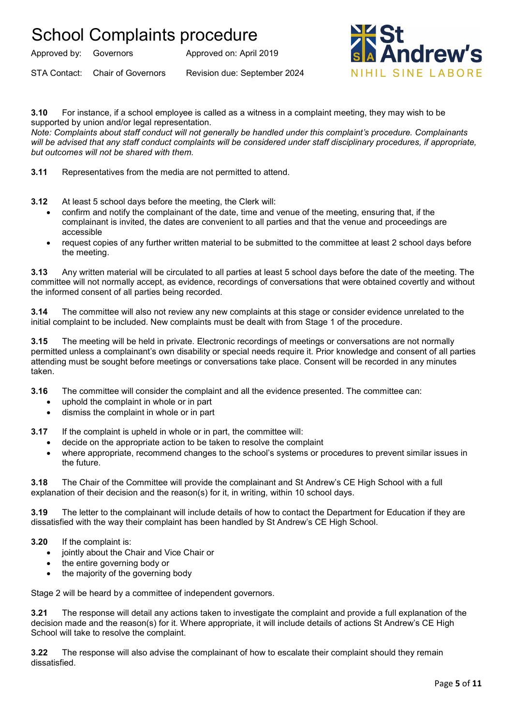Approved by: Governors Approved on: April 2019

STA Contact: Chair of Governors Revision due: September 2024



**3.10** For instance, if a school employee is called as a witness in a complaint meeting, they may wish to be supported by union and/or legal representation.

*Note: Complaints about staff conduct will not generally be handled under this complaint's procedure. Complainants will be advised that any staff conduct complaints will be considered under staff disciplinary procedures, if appropriate, but outcomes will not be shared with them.* 

**3.11** Representatives from the media are not permitted to attend.

- **3.12** At least 5 school days before the meeting, the Clerk will:
	- confirm and notify the complainant of the date, time and venue of the meeting, ensuring that, if the complainant is invited, the dates are convenient to all parties and that the venue and proceedings are accessible
	- request copies of any further written material to be submitted to the committee at least 2 school days before the meeting.

**3.13** Any written material will be circulated to all parties at least 5 school days before the date of the meeting. The committee will not normally accept, as evidence, recordings of conversations that were obtained covertly and without the informed consent of all parties being recorded.

**3.14** The committee will also not review any new complaints at this stage or consider evidence unrelated to the initial complaint to be included. New complaints must be dealt with from Stage 1 of the procedure.

**3.15** The meeting will be held in private. Electronic recordings of meetings or conversations are not normally permitted unless a complainant's own disability or special needs require it. Prior knowledge and consent of all parties attending must be sought before meetings or conversations take place. Consent will be recorded in any minutes taken.

- **3.16** The committee will consider the complaint and all the evidence presented. The committee can:
	- uphold the complaint in whole or in part
	- dismiss the complaint in whole or in part

**3.17** If the complaint is upheld in whole or in part, the committee will:

- decide on the appropriate action to be taken to resolve the complaint
- where appropriate, recommend changes to the school's systems or procedures to prevent similar issues in the future.

**3.18** The Chair of the Committee will provide the complainant and St Andrew's CE High School with a full explanation of their decision and the reason(s) for it, in writing, within 10 school days.

**3.19** The letter to the complainant will include details of how to contact the Department for Education if they are dissatisfied with the way their complaint has been handled by St Andrew's CE High School.

#### **3.20** If the complaint is:

- jointly about the Chair and Vice Chair or
- the entire governing body or
- the majority of the governing body

Stage 2 will be heard by a committee of independent governors.

**3.21** The response will detail any actions taken to investigate the complaint and provide a full explanation of the decision made and the reason(s) for it. Where appropriate, it will include details of actions St Andrew's CE High School will take to resolve the complaint.

**3.22** The response will also advise the complainant of how to escalate their complaint should they remain dissatisfied.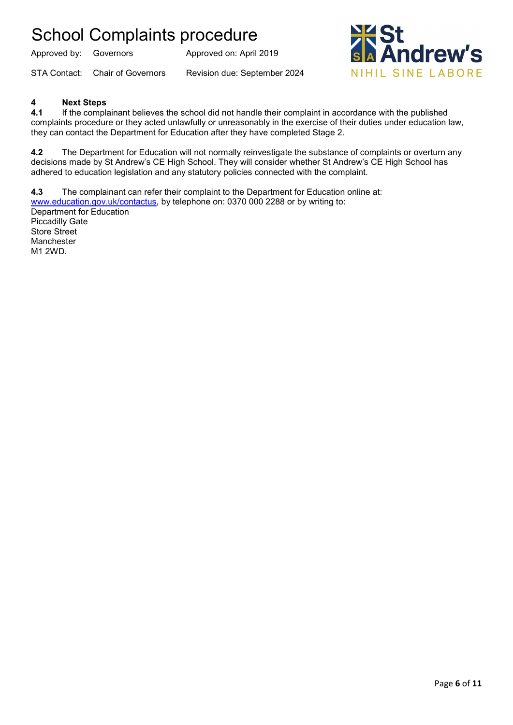Approved by: Governors Approved on: April 2019

STA Contact: Chair of Governors Revision due: September 2024



### **4 Next Steps**

**4.1** If the complainant believes the school did not handle their complaint in accordance with the published complaints procedure or they acted unlawfully or unreasonably in the exercise of their duties under education law, they can contact the Department for Education after they have completed Stage 2.

**4.2** The Department for Education will not normally reinvestigate the substance of complaints or overturn any decisions made by St Andrew's CE High School. They will consider whether St Andrew's CE High School has adhered to education legislation and any statutory policies connected with the complaint.

**4.3** The complainant can refer their complaint to the Department for Education online at: [www.education.gov.uk/contactus,](http://www.education.gov.uk/contactus) by telephone on: 0370 000 2288 or by writing to: Department for Education Piccadilly Gate Store Street Manchester M1 2WD.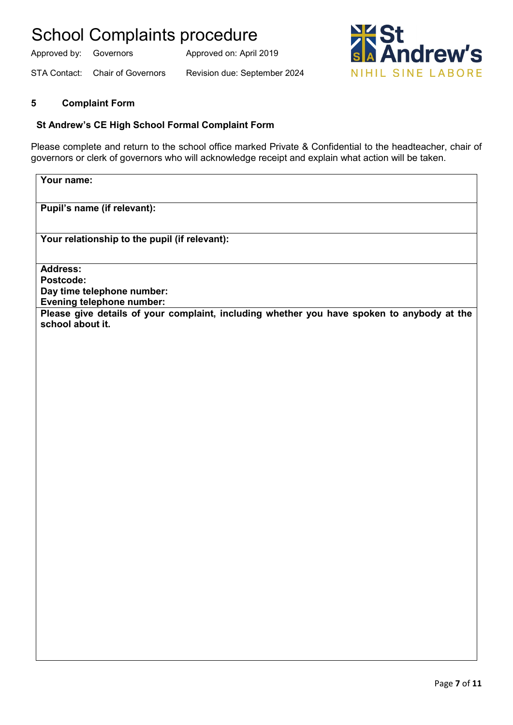Approved by: Governors Approved on: April 2019





### **5 Complaint Form**

### **St Andrew's CE High School Formal Complaint Form**

Please complete and return to the school office marked Private & Confidential to the headteacher, chair of governors or clerk of governors who will acknowledge receipt and explain what action will be taken.

**Your name:**

**Pupil's name (if relevant):**

**Your relationship to the pupil (if relevant):**

**Address: Postcode: Day time telephone number: Evening telephone number: Please give details of your complaint, including whether you have spoken to anybody at the school about it.**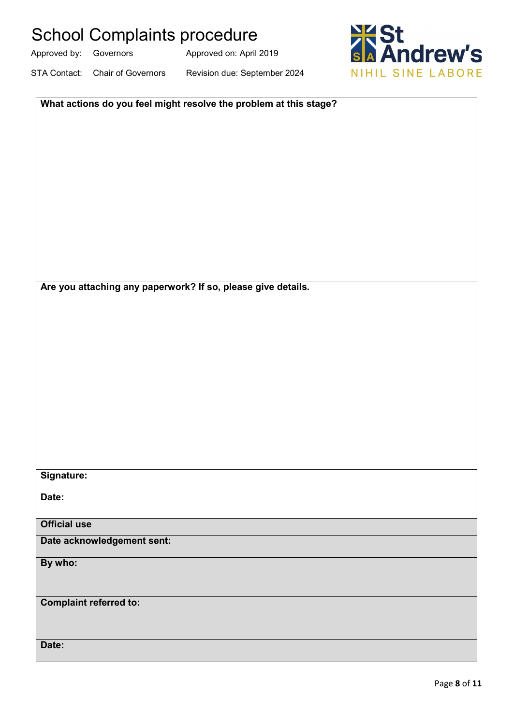Approved by: Governors Approved on: April 2019

STA Contact: Chair of Governors Revision due: September 2024



| What actions do you feel might resolve the problem at this stage? |
|-------------------------------------------------------------------|
|                                                                   |
|                                                                   |
|                                                                   |
|                                                                   |
|                                                                   |
|                                                                   |
|                                                                   |
|                                                                   |
|                                                                   |
| Are you attaching any paperwork? If so, please give details.      |
|                                                                   |
|                                                                   |
|                                                                   |
|                                                                   |
|                                                                   |
|                                                                   |
|                                                                   |
|                                                                   |
|                                                                   |
| Signature:                                                        |
| Date:                                                             |
|                                                                   |
| <b>Official use</b>                                               |
| Date acknowledgement sent:                                        |
| By who:                                                           |
|                                                                   |
| <b>Complaint referred to:</b>                                     |
|                                                                   |
| Date:                                                             |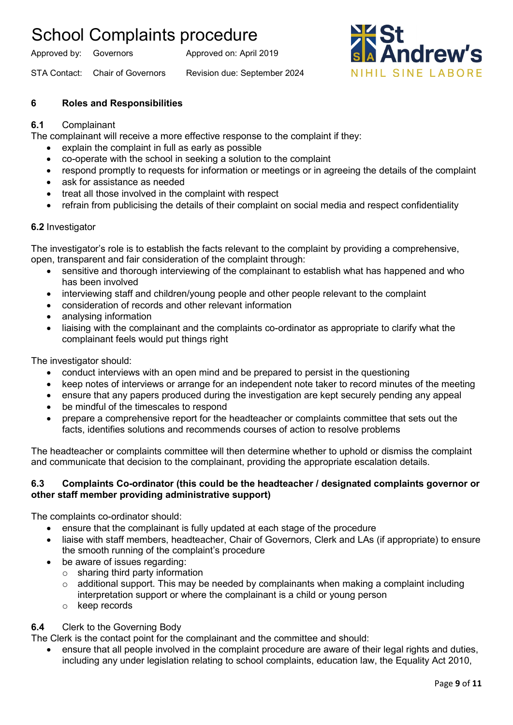Approved by: Governors Approved on: April 2019

STA Contact: Chair of Governors Revision due: September 2024



### **6 Roles and Responsibilities**

### **6.1** Complainant

The complainant will receive a more effective response to the complaint if they:

- explain the complaint in full as early as possible
- co-operate with the school in seeking a solution to the complaint
- respond promptly to requests for information or meetings or in agreeing the details of the complaint
- ask for assistance as needed
- treat all those involved in the complaint with respect
- refrain from publicising the details of their complaint on social media and respect confidentiality

### **6.2** Investigator

The investigator's role is to establish the facts relevant to the complaint by providing a comprehensive, open, transparent and fair consideration of the complaint through:

- sensitive and thorough interviewing of the complainant to establish what has happened and who has been involved
- interviewing staff and children/young people and other people relevant to the complaint
- consideration of records and other relevant information
- analysing information
- liaising with the complainant and the complaints co-ordinator as appropriate to clarify what the complainant feels would put things right

The investigator should:

- conduct interviews with an open mind and be prepared to persist in the questioning
- keep notes of interviews or arrange for an independent note taker to record minutes of the meeting
- ensure that any papers produced during the investigation are kept securely pending any appeal
- be mindful of the timescales to respond
- prepare a comprehensive report for the headteacher or complaints committee that sets out the facts, identifies solutions and recommends courses of action to resolve problems

The headteacher or complaints committee will then determine whether to uphold or dismiss the complaint and communicate that decision to the complainant, providing the appropriate escalation details.

### **6.3 Complaints Co-ordinator (this could be the headteacher / designated complaints governor or other staff member providing administrative support)**

The complaints co-ordinator should:

- ensure that the complainant is fully updated at each stage of the procedure
- liaise with staff members, headteacher, Chair of Governors, Clerk and LAs (if appropriate) to ensure the smooth running of the complaint's procedure
- be aware of issues regarding:
	- o sharing third party information
	- $\circ$  additional support. This may be needed by complainants when making a complaint including interpretation support or where the complainant is a child or young person
	- o keep records

### **6.4** Clerk to the Governing Body

The Clerk is the contact point for the complainant and the committee and should:

• ensure that all people involved in the complaint procedure are aware of their legal rights and duties, including any under legislation relating to school complaints, education law, the Equality Act 2010,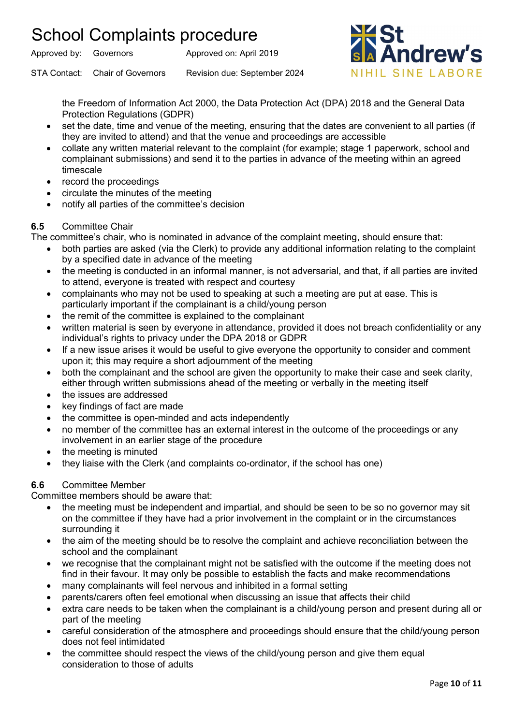Approved by: Governors Approved on: April 2019



STA Contact: Chair of Governors Revision due: September 2024

the Freedom of Information Act 2000, the Data Protection Act (DPA) 2018 and the General Data Protection Regulations (GDPR)

- set the date, time and venue of the meeting, ensuring that the dates are convenient to all parties (if they are invited to attend) and that the venue and proceedings are accessible
- collate any written material relevant to the complaint (for example; stage 1 paperwork, school and complainant submissions) and send it to the parties in advance of the meeting within an agreed timescale
- record the proceedings
- circulate the minutes of the meeting
- notify all parties of the committee's decision

### **6.5** Committee Chair

The committee's chair, who is nominated in advance of the complaint meeting, should ensure that:

- both parties are asked (via the Clerk) to provide any additional information relating to the complaint by a specified date in advance of the meeting
- the meeting is conducted in an informal manner, is not adversarial, and that, if all parties are invited to attend, everyone is treated with respect and courtesy
- complainants who may not be used to speaking at such a meeting are put at ease. This is particularly important if the complainant is a child/young person
- the remit of the committee is explained to the complainant
- written material is seen by everyone in attendance, provided it does not breach confidentiality or any individual's rights to privacy under the DPA 2018 or GDPR
- If a new issue arises it would be useful to give everyone the opportunity to consider and comment upon it; this may require a short adjournment of the meeting
- both the complainant and the school are given the opportunity to make their case and seek clarity, either through written submissions ahead of the meeting or verbally in the meeting itself
- the issues are addressed
- key findings of fact are made
- the committee is open-minded and acts independently
- no member of the committee has an external interest in the outcome of the proceedings or any involvement in an earlier stage of the procedure
- the meeting is minuted
- they liaise with the Clerk (and complaints co-ordinator, if the school has one)

### **6.6** Committee Member

Committee members should be aware that:

- the meeting must be independent and impartial, and should be seen to be so no governor may sit on the committee if they have had a prior involvement in the complaint or in the circumstances surrounding it
- the aim of the meeting should be to resolve the complaint and achieve reconciliation between the school and the complainant
- we recognise that the complainant might not be satisfied with the outcome if the meeting does not find in their favour. It may only be possible to establish the facts and make recommendations
- many complainants will feel nervous and inhibited in a formal setting
- parents/carers often feel emotional when discussing an issue that affects their child
- extra care needs to be taken when the complainant is a child/young person and present during all or part of the meeting
- careful consideration of the atmosphere and proceedings should ensure that the child/young person does not feel intimidated
- the committee should respect the views of the child/young person and give them equal consideration to those of adults